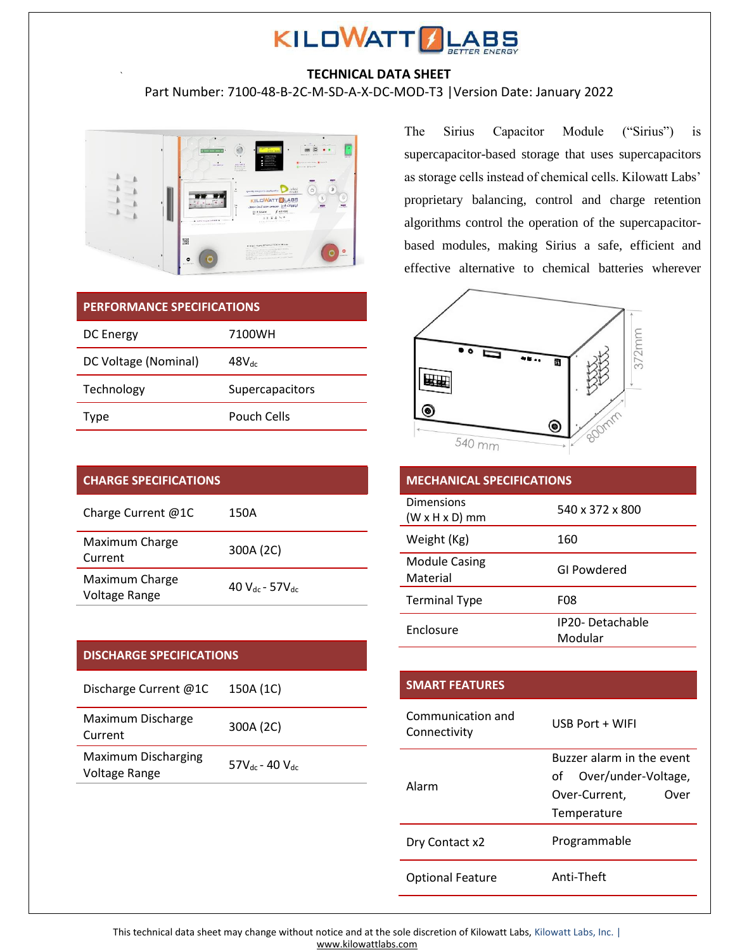

## **TECHNICAL DATA SHEET**

Part Number: 7100-48-B-2C-M-SD-A-X-DC-MOD-T3 |Version Date: January 2022



### **PERFORMANCE SPECIFICATIONS**

`

| DC Energy            | 7100WH            |
|----------------------|-------------------|
| DC Voltage (Nominal) | $48V_{\text{dc}}$ |
| Technology           | Supercapacitors   |
| Type                 | Pouch Cells       |

| <b>CHARGE SPECIFICATIONS</b>    |                           |
|---------------------------------|---------------------------|
| Charge Current $@1C$            | 150A                      |
| Maximum Charge<br>Current       | 300A (2C)                 |
| Maximum Charge<br>Voltage Range | 40 $V_{dc}$ - 57 $V_{dc}$ |

## **DISCHARGE SPECIFICATIONS**

| Discharge Current @1C                | 150A (1C)                |
|--------------------------------------|--------------------------|
| Maximum Discharge<br>Current         | 300A (2C)                |
| Maximum Discharging<br>Voltage Range | $57V_{dc}$ - 40 $V_{dc}$ |

The Sirius Capacitor Module ("Sirius") is supercapacitor-based storage that uses supercapacitors as storage cells instead of chemical cells. Kilowatt Labs' proprietary balancing, control and charge retention algorithms control the operation of the supercapacitorbased modules, making Sirius a safe, efficient and effective alternative to chemical batteries wherever



| <b>MECHANICAL SPECIFICATIONS</b> |                                   |
|----------------------------------|-----------------------------------|
| Dimensions<br>$(W x H x D)$ mm   | 540 x 372 x 800                   |
| Weight (Kg)                      | 160                               |
| <b>Module Casing</b><br>Material | GI Powdered                       |
| <b>Terminal Type</b>             | F08                               |
| Enclosure                        | <b>IP20-Detachable</b><br>Modular |

| <b>SMART FEATURES</b>             |                           |
|-----------------------------------|---------------------------|
| Communication and<br>Connectivity | USB Port + WIFI           |
| Alarm                             | Buzzer alarm in the event |
|                                   | Over/under-Voltage,<br>of |
|                                   | Over-Current,<br>Over     |
|                                   | Temperature               |
| Dry Contact x2                    | Programmable              |
| <b>Optional Feature</b>           | Anti-Theft                |

This technical data sheet may change without notice and at the sole discretion of Kilowatt Labs, Kilowatt Labs, Inc. | [www.kilowattlabs.com](http://www.kilowattlabs.com/)